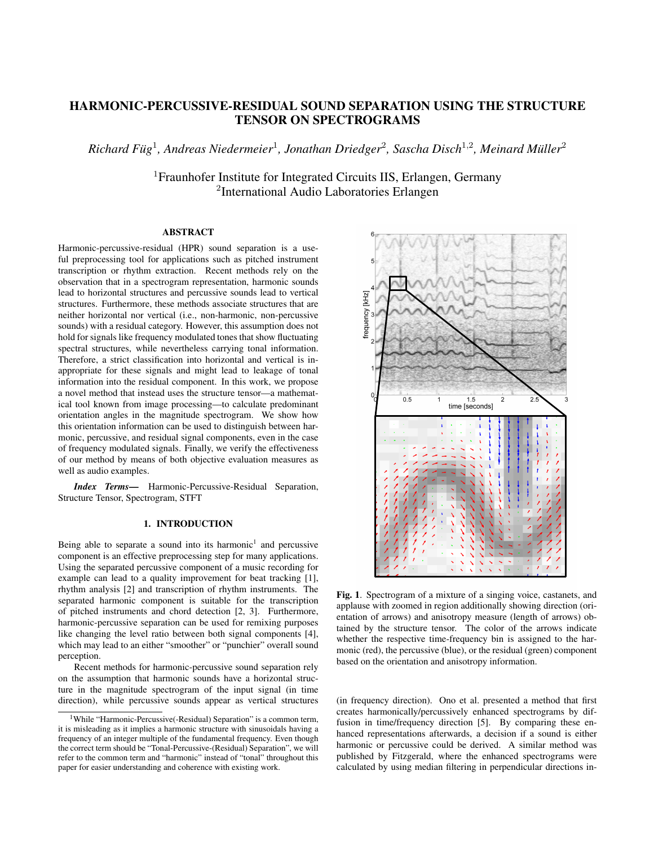# HARMONIC-PERCUSSIVE-RESIDUAL SOUND SEPARATION USING THE STRUCTURE TENSOR ON SPECTROGRAMS

*Richard Fug¨* 1 *, Andreas Niedermeier*<sup>1</sup> *, Jonathan Driedger*<sup>2</sup> *, Sascha Disch*<sup>1</sup>,<sup>2</sup> *, Meinard Muller ¨* 2

<sup>1</sup> Fraunhofer Institute for Integrated Circuits IIS, Erlangen, Germany <sup>2</sup>International Audio Laboratories Erlangen

# ABSTRACT

Harmonic-percussive-residual (HPR) sound separation is a useful preprocessing tool for applications such as pitched instrument transcription or rhythm extraction. Recent methods rely on the observation that in a spectrogram representation, harmonic sounds lead to horizontal structures and percussive sounds lead to vertical structures. Furthermore, these methods associate structures that are neither horizontal nor vertical (i.e., non-harmonic, non-percussive sounds) with a residual category. However, this assumption does not hold for signals like frequency modulated tones that show fluctuating spectral structures, while nevertheless carrying tonal information. Therefore, a strict classification into horizontal and vertical is inappropriate for these signals and might lead to leakage of tonal information into the residual component. In this work, we propose a novel method that instead uses the structure tensor—a mathematical tool known from image processing—to calculate predominant orientation angles in the magnitude spectrogram. We show how this orientation information can be used to distinguish between harmonic, percussive, and residual signal components, even in the case of frequency modulated signals. Finally, we verify the effectiveness of our method by means of both objective evaluation measures as well as audio examples.

*Index Terms*— Harmonic-Percussive-Residual Separation, Structure Tensor, Spectrogram, STFT

# 1. INTRODUCTION

Being able to separate a sound into its harmonic<sup>1</sup> and percussive component is an effective preprocessing step for many applications. Using the separated percussive component of a music recording for example can lead to a quality improvement for beat tracking [1], rhythm analysis [2] and transcription of rhythm instruments. The separated harmonic component is suitable for the transcription of pitched instruments and chord detection [2, 3]. Furthermore, harmonic-percussive separation can be used for remixing purposes like changing the level ratio between both signal components [4], which may lead to an either "smoother" or "punchier" overall sound perception.

Recent methods for harmonic-percussive sound separation rely on the assumption that harmonic sounds have a horizontal structure in the magnitude spectrogram of the input signal (in time direction), while percussive sounds appear as vertical structures



Fig. 1. Spectrogram of a mixture of a singing voice, castanets, and applause with zoomed in region additionally showing direction (orientation of arrows) and anisotropy measure (length of arrows) obtained by the structure tensor. The color of the arrows indicate whether the respective time-frequency bin is assigned to the harmonic (red), the percussive (blue), or the residual (green) component based on the orientation and anisotropy information.

(in frequency direction). Ono et al. presented a method that first creates harmonically/percussively enhanced spectrograms by diffusion in time/frequency direction [5]. By comparing these enhanced representations afterwards, a decision if a sound is either harmonic or percussive could be derived. A similar method was published by Fitzgerald, where the enhanced spectrograms were calculated by using median filtering in perpendicular directions in-

<sup>&</sup>lt;sup>1</sup>While "Harmonic-Percussive(-Residual) Separation" is a common term, it is misleading as it implies a harmonic structure with sinusoidals having a frequency of an integer multiple of the fundamental frequency. Even though the correct term should be "Tonal-Percussive-(Residual) Separation", we will refer to the common term and "harmonic" instead of "tonal" throughout this paper for easier understanding and coherence with existing work.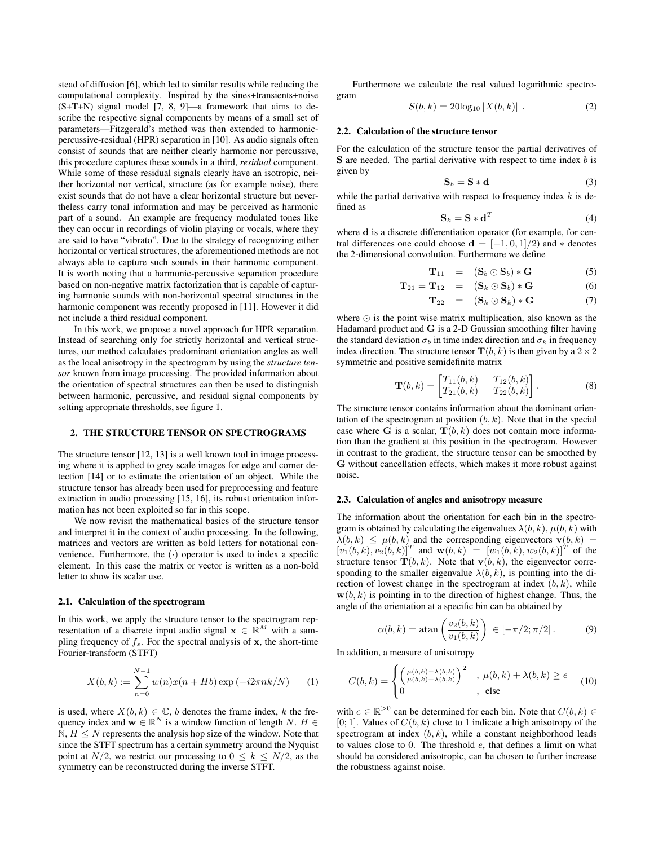stead of diffusion [6], which led to similar results while reducing the computational complexity. Inspired by the sines+transients+noise (S+T+N) signal model [7, 8, 9]—a framework that aims to describe the respective signal components by means of a small set of parameters—Fitzgerald's method was then extended to harmonicpercussive-residual (HPR) separation in [10]. As audio signals often consist of sounds that are neither clearly harmonic nor percussive, this procedure captures these sounds in a third, *residual* component. While some of these residual signals clearly have an isotropic, neither horizontal nor vertical, structure (as for example noise), there exist sounds that do not have a clear horizontal structure but nevertheless carry tonal information and may be perceived as harmonic part of a sound. An example are frequency modulated tones like they can occur in recordings of violin playing or vocals, where they are said to have "vibrato". Due to the strategy of recognizing either horizontal or vertical structures, the aforementioned methods are not always able to capture such sounds in their harmonic component. It is worth noting that a harmonic-percussive separation procedure based on non-negative matrix factorization that is capable of capturing harmonic sounds with non-horizontal spectral structures in the harmonic component was recently proposed in [11]. However it did not include a third residual component.

In this work, we propose a novel approach for HPR separation. Instead of searching only for strictly horizontal and vertical structures, our method calculates predominant orientation angles as well as the local anisotropy in the spectrogram by using the *structure tensor* known from image processing. The provided information about the orientation of spectral structures can then be used to distinguish between harmonic, percussive, and residual signal components by setting appropriate thresholds, see figure 1.

## 2. THE STRUCTURE TENSOR ON SPECTROGRAMS

The structure tensor [12, 13] is a well known tool in image processing where it is applied to grey scale images for edge and corner detection [14] or to estimate the orientation of an object. While the structure tensor has already been used for preprocessing and feature extraction in audio processing [15, 16], its robust orientation information has not been exploited so far in this scope.

We now revisit the mathematical basics of the structure tensor and interpret it in the context of audio processing. In the following, matrices and vectors are written as bold letters for notational convenience. Furthermore, the  $(\cdot)$  operator is used to index a specific element. In this case the matrix or vector is written as a non-bold letter to show its scalar use.

#### 2.1. Calculation of the spectrogram

In this work, we apply the structure tensor to the spectrogram representation of a discrete input audio signal  $\mathbf{x} \in \mathbb{R}^M$  with a sampling frequency of  $f_s$ . For the spectral analysis of x, the short-time Fourier-transform (STFT)

$$
X(b,k) := \sum_{n=0}^{N-1} w(n)x(n+Hb) \exp(-i2\pi nk/N)
$$
 (1)

is used, where  $X(b, k) \in \mathbb{C}$ , b denotes the frame index, k the frequency index and  $\mathbf{w} \in \mathbb{R}^N$  is a window function of length N.  $H \in$  $\mathbb{N}, H \leq N$  represents the analysis hop size of the window. Note that since the STFT spectrum has a certain symmetry around the Nyquist point at  $N/2$ , we restrict our processing to  $0 \le k \le N/2$ , as the symmetry can be reconstructed during the inverse STFT.

Furthermore we calculate the real valued logarithmic spectrogram

$$
S(b,k) = 20\log_{10}|X(b,k)|.
$$
 (2)

#### 2.2. Calculation of the structure tensor

For the calculation of the structure tensor the partial derivatives of  $S$  are needed. The partial derivative with respect to time index  $b$  is given by

$$
\mathbf{S}_b = \mathbf{S} * \mathbf{d} \tag{3}
$$

while the partial derivative with respect to frequency index  $k$  is defined as

$$
\mathbf{S}_k = \mathbf{S} * \mathbf{d}^T \tag{4}
$$

where d is a discrete differentiation operator (for example, for central differences one could choose  $\mathbf{d} = [-1, 0, 1]/2$  and  $*$  denotes the 2-dimensional convolution. Furthermore we define

$$
\mathbf{T}_{11} = (\mathbf{S}_b \odot \mathbf{S}_b) * \mathbf{G} \tag{5}
$$

$$
\mathbf{T}_{21} = \mathbf{T}_{12} = (\mathbf{S}_k \odot \mathbf{S}_b) * \mathbf{G}
$$
 (6)

$$
\mathbf{T}_{22} = (\mathbf{S}_k \odot \mathbf{S}_k) * \mathbf{G} \tag{7}
$$

where  $\odot$  is the point wise matrix multiplication, also known as the Hadamard product and G is a 2-D Gaussian smoothing filter having the standard deviation  $\sigma_b$  in time index direction and  $\sigma_k$  in frequency index direction. The structure tensor  $\mathbf{T}(b, k)$  is then given by a  $2 \times 2$ symmetric and positive semidefinite matrix

$$
\mathbf{T}(b,k) = \begin{bmatrix} T_{11}(b,k) & T_{12}(b,k) \\ T_{21}(b,k) & T_{22}(b,k) \end{bmatrix}.
$$
 (8)

The structure tensor contains information about the dominant orientation of the spectrogram at position  $(b, k)$ . Note that in the special case where G is a scalar,  $T(b, k)$  does not contain more information than the gradient at this position in the spectrogram. However in contrast to the gradient, the structure tensor can be smoothed by G without cancellation effects, which makes it more robust against noise.

## 2.3. Calculation of angles and anisotropy measure

The information about the orientation for each bin in the spectrogram is obtained by calculating the eigenvalues  $\lambda(b, k)$ ,  $\mu(b, k)$  with  $\lambda(b, k) \leq \mu(b, k)$  and the corresponding eigenvectors  $\mathbf{v}(b, k) =$  $[v_1(b, k), v_2(b, k)]^T$  and  $\mathbf{w}(b, k) = [w_1(b, k), w_2(b, k)]^T$  of the structure tensor  $\mathbf{T}(b, k)$ . Note that  $\mathbf{v}(b, k)$ , the eigenvector corresponding to the smaller eigenvalue  $\lambda(b, k)$ , is pointing into the direction of lowest change in the spectrogram at index  $(b, k)$ , while  $\mathbf{w}(b, k)$  is pointing in to the direction of highest change. Thus, the angle of the orientation at a specific bin can be obtained by

$$
\alpha(b,k) = \operatorname{atan}\left(\frac{v_2(b,k)}{v_1(b,k)}\right) \in [-\pi/2; \pi/2]. \tag{9}
$$

In addition, a measure of anisotropy

$$
C(b,k) = \begin{cases} \left(\frac{\mu(b,k) - \lambda(b,k)}{\mu(b,k) + \lambda(b,k)}\right)^2, & \mu(b,k) + \lambda(b,k) \ge e\\ 0, & \text{else} \end{cases}
$$
 (10)

with  $e \in \mathbb{R}^{>0}$  can be determined for each bin. Note that  $C(b, k) \in$ [0; 1]. Values of  $C(b, k)$  close to 1 indicate a high anisotropy of the spectrogram at index  $(b, k)$ , while a constant neighborhood leads to values close to 0. The threshold e, that defines a limit on what should be considered anisotropic, can be chosen to further increase the robustness against noise.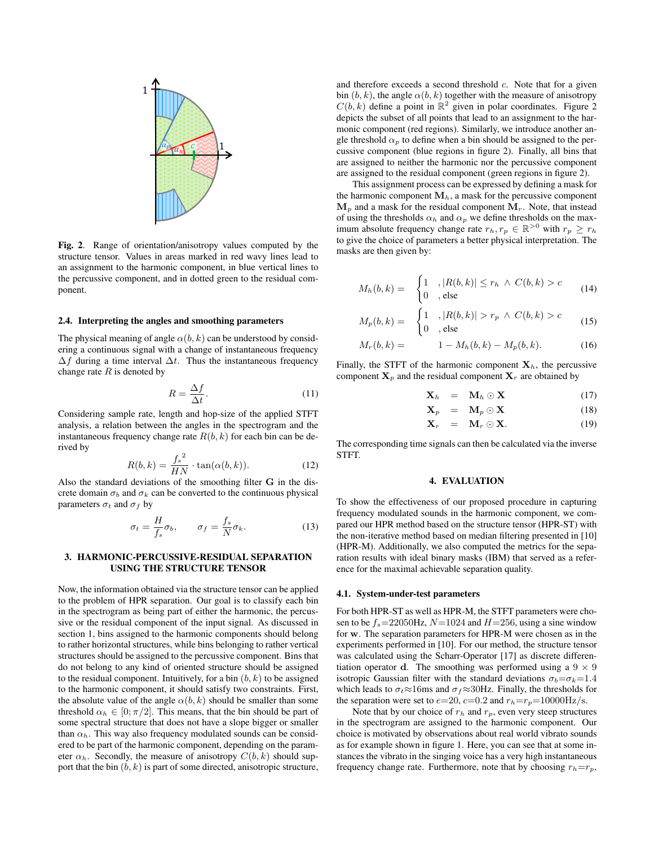

Fig. 2. Range of orientation/anisotropy values computed by the structure tensor. Values in areas marked in red wavy lines lead to an assignment to the harmonic component, in blue vertical lines to the percussive component, and in dotted green to the residual component.

#### 2.4. Interpreting the angles and smoothing parameters

The physical meaning of angle  $\alpha(b, k)$  can be understood by considering a continuous signal with a change of instantaneous frequency  $\Delta f$  during a time interval  $\Delta t$ . Thus the instantaneous frequency change rate  $R$  is denoted by

$$
R = \frac{\Delta f}{\Delta t}.\tag{11}
$$

Considering sample rate, length and hop-size of the applied STFT analysis, a relation between the angles in the spectrogram and the instantaneous frequency change rate  $R(b, k)$  for each bin can be derived by

$$
R(b,k) = \frac{f_s^2}{HN} \cdot \tan(\alpha(b,k)).
$$
 (12)

Also the standard deviations of the smoothing filter G in the discrete domain  $\sigma_b$  and  $\sigma_k$  can be converted to the continuous physical parameters  $\sigma_t$  and  $\sigma_f$  by

$$
\sigma_t = \frac{H}{f_s} \sigma_b, \qquad \sigma_f = \frac{f_s}{N} \sigma_k. \tag{13}
$$

# 3. HARMONIC-PERCUSSIVE-RESIDUAL SEPARATION USING THE STRUCTURE TENSOR

Now, the information obtained via the structure tensor can be applied to the problem of HPR separation. Our goal is to classify each bin in the spectrogram as being part of either the harmonic, the percussive or the residual component of the input signal. As discussed in section 1, bins assigned to the harmonic components should belong to rather horizontal structures, while bins belonging to rather vertical structures should be assigned to the percussive component. Bins that do not belong to any kind of oriented structure should be assigned to the residual component. Intuitively, for a bin  $(b, k)$  to be assigned to the harmonic component, it should satisfy two constraints. First, the absolute value of the angle  $\alpha(b, k)$  should be smaller than some threshold  $\alpha_h \in [0; \pi/2]$ . This means, that the bin should be part of some spectral structure that does not have a slope bigger or smaller than  $\alpha_h$ . This way also frequency modulated sounds can be considered to be part of the harmonic component, depending on the parameter  $\alpha_h$ . Secondly, the measure of anisotropy  $C(b, k)$  should support that the bin  $(b, k)$  is part of some directed, anisotropic structure,

and therefore exceeds a second threshold c. Note that for a given bin  $(b, k)$ , the angle  $\alpha(b, k)$  together with the measure of anisotropy  $C(b, k)$  define a point in  $\mathbb{R}^2$  given in polar coordinates. Figure 2 depicts the subset of all points that lead to an assignment to the harmonic component (red regions). Similarly, we introduce another angle threshold  $\alpha_p$  to define when a bin should be assigned to the percussive component (blue regions in figure 2). Finally, all bins that are assigned to neither the harmonic nor the percussive component are assigned to the residual component (green regions in figure 2).

This assignment process can be expressed by defining a mask for the harmonic component  $M<sub>h</sub>$ , a mask for the percussive component  $M_p$  and a mask for the residual component  $M_r$ . Note, that instead of using the thresholds  $\alpha_h$  and  $\alpha_p$  we define thresholds on the maximum absolute frequency change rate  $r_h, r_p \in \mathbb{R}^{>0}$  with  $r_p \geq r_h$ to give the choice of parameters a better physical interpretation. The masks are then given by:

$$
M_h(b,k) = \begin{cases} 1, & |R(b,k)| \le r_h \land C(b,k) > c \\ 0, & \text{else} \end{cases}
$$
 (14)

$$
M_p(b,k) = \begin{cases} 1 & , |R(b,k)| > r_p \land C(b,k) > c \\ 0 & , \text{else} \end{cases}
$$
(15)

$$
M_r(b,k) = 1 - M_h(b,k) - M_p(b,k).
$$
 (16)

Finally, the STFT of the harmonic component  $X<sub>h</sub>$ , the percussive component  $X_p$  and the residual component  $X_r$  are obtained by

$$
\mathbf{X}_h = \mathbf{M}_h \odot \mathbf{X} \tag{17}
$$

$$
\mathbf{X}_p = \mathbf{M}_p \odot \mathbf{X} \tag{18}
$$

$$
\mathbf{X}_r = \mathbf{M}_r \odot \mathbf{X}.
$$
 (19)

The corresponding time signals can then be calculated via the inverse STFT.

# 4. EVALUATION

To show the effectiveness of our proposed procedure in capturing frequency modulated sounds in the harmonic component, we compared our HPR method based on the structure tensor (HPR-ST) with the non-iterative method based on median filtering presented in [10] (HPR-M). Additionally, we also computed the metrics for the separation results with ideal binary masks (IBM) that served as a reference for the maximal achievable separation quality.

### 4.1. System-under-test parameters

For both HPR-ST as well as HPR-M, the STFT parameters were chosen to be  $f_s$ =22050Hz,  $N$ =1024 and  $H$ =256, using a sine window for w. The separation parameters for HPR-M were chosen as in the experiments performed in [10]. For our method, the structure tensor was calculated using the Scharr-Operator [17] as discrete differentiation operator **d**. The smoothing was performed using a  $9 \times 9$ isotropic Gaussian filter with the standard deviations  $\sigma_b = \sigma_k = 1.4$ which leads to  $\sigma_t \approx 16$ ms and  $\sigma_f \approx 30$ Hz. Finally, the thresholds for the separation were set to  $e=20$ ,  $c=0.2$  and  $r_h=r_p=10000\text{Hz/s}$ .

Note that by our choice of  $r_h$  and  $r_p$ , even very steep structures in the spectrogram are assigned to the harmonic component. Our choice is motivated by observations about real world vibrato sounds as for example shown in figure 1. Here, you can see that at some instances the vibrato in the singing voice has a very high instantaneous frequency change rate. Furthermore, note that by choosing  $r_h=r_p$ ,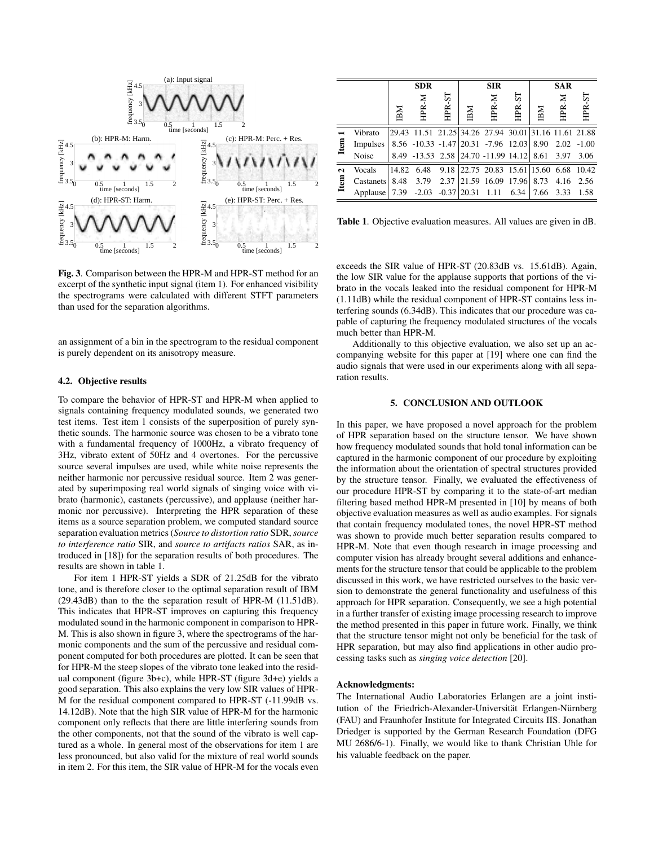

Fig. 3. Comparison between the HPR-M and HPR-ST method for an excerpt of the synthetic input signal (item 1). For enhanced visibility the spectrograms were calculated with different STFT parameters than used for the separation algorithms.

an assignment of a bin in the spectrogram to the residual component is purely dependent on its anisotropy measure.

# 4.2. Objective results

To compare the behavior of HPR-ST and HPR-M when applied to signals containing frequency modulated sounds, we generated two test items. Test item 1 consists of the superposition of purely synthetic sounds. The harmonic source was chosen to be a vibrato tone with a fundamental frequency of 1000Hz, a vibrato frequency of 3Hz, vibrato extent of 50Hz and 4 overtones. For the percussive source several impulses are used, while white noise represents the neither harmonic nor percussive residual source. Item 2 was generated by superimposing real world signals of singing voice with vibrato (harmonic), castanets (percussive), and applause (neither harmonic nor percussive). Interpreting the HPR separation of these items as a source separation problem, we computed standard source separation evaluation metrics (*Source to distortion ratio* SDR,*source to interference ratio* SIR, and *source to artifacts ratios* SAR, as introduced in [18]) for the separation results of both procedures. The results are shown in table 1.

For item 1 HPR-ST yields a SDR of 21.25dB for the vibrato tone, and is therefore closer to the optimal separation result of IBM (29.43dB) than to the the separation result of HPR-M (11.51dB). This indicates that HPR-ST improves on capturing this frequency modulated sound in the harmonic component in comparison to HPR-M. This is also shown in figure 3, where the spectrograms of the harmonic components and the sum of the percussive and residual component computed for both procedures are plotted. It can be seen that for HPR-M the steep slopes of the vibrato tone leaked into the residual component (figure 3b+c), while HPR-ST (figure 3d+e) yields a good separation. This also explains the very low SIR values of HPR-M for the residual component compared to HPR-ST (-11.99dB vs. 14.12dB). Note that the high SIR value of HPR-M for the harmonic component only reflects that there are little interfering sounds from the other components, not that the sound of the vibrato is well captured as a whole. In general most of the observations for item 1 are less pronounced, but also valid for the mixture of real world sounds in item 2. For this item, the SIR value of HPR-M for the vocals even

|                      |           |             | <b>SDR</b>                                                |        |     | <b>SIR</b>                              |        |           | <b>SAR</b> |        |
|----------------------|-----------|-------------|-----------------------------------------------------------|--------|-----|-----------------------------------------|--------|-----------|------------|--------|
|                      |           | $_{\rm BM}$ | HPR-M                                                     | HPR-ST | IBM | HPR-M                                   | HPR-ST | IBM       | HPR-M      | HPR-ST |
| Item                 | Vibrato   |             | 29.43 11.51 21.25 34.26 27.94 30.01 31.16 11.61 21.88     |        |     |                                         |        |           |            |        |
|                      | Impulses  |             | $8.56 - 10.33 - 1.47$ 20.31 - 7.96 12.03 8.90 2.02 - 1.00 |        |     |                                         |        |           |            |        |
|                      | Noise     |             | 8.49 -13.53 2.58 24.70 -11.99 14.12 8.61 3.97 3.06        |        |     |                                         |        |           |            |        |
| $\mathbf{C}$<br>Item | Vocals    |             | 14.82 6.48                                                |        |     | 9.18 22.75 20.83 15.61 15.60 6.68 10.42 |        |           |            |        |
|                      | Castanets | 8.48        | 3.79                                                      |        |     | 2.37 21.59 16.09 17.96 8.73 4.16 2.56   |        |           |            |        |
|                      | Applause  |             | $7.39 -2.03 -0.37$ 20.31 1.11 6.34                        |        |     |                                         |        | 7.66 3.33 |            | 1.58   |

Table 1. Objective evaluation measures. All values are given in dB.

exceeds the SIR value of HPR-ST (20.83dB vs. 15.61dB). Again, the low SIR value for the applause supports that portions of the vibrato in the vocals leaked into the residual component for HPR-M (1.11dB) while the residual component of HPR-ST contains less interfering sounds (6.34dB). This indicates that our procedure was capable of capturing the frequency modulated structures of the vocals much better than HPR-M.

Additionally to this objective evaluation, we also set up an accompanying website for this paper at [19] where one can find the audio signals that were used in our experiments along with all separation results.

### 5. CONCLUSION AND OUTLOOK

In this paper, we have proposed a novel approach for the problem of HPR separation based on the structure tensor. We have shown how frequency modulated sounds that hold tonal information can be captured in the harmonic component of our procedure by exploiting the information about the orientation of spectral structures provided by the structure tensor. Finally, we evaluated the effectiveness of our procedure HPR-ST by comparing it to the state-of-art median filtering based method HPR-M presented in [10] by means of both objective evaluation measures as well as audio examples. For signals that contain frequency modulated tones, the novel HPR-ST method was shown to provide much better separation results compared to HPR-M. Note that even though research in image processing and computer vision has already brought several additions and enhancements for the structure tensor that could be applicable to the problem discussed in this work, we have restricted ourselves to the basic version to demonstrate the general functionality and usefulness of this approach for HPR separation. Consequently, we see a high potential in a further transfer of existing image processing research to improve the method presented in this paper in future work. Finally, we think that the structure tensor might not only be beneficial for the task of HPR separation, but may also find applications in other audio processing tasks such as *singing voice detection* [20].

# Acknowledgments:

The International Audio Laboratories Erlangen are a joint institution of the Friedrich-Alexander-Universität Erlangen-Nürnberg (FAU) and Fraunhofer Institute for Integrated Circuits IIS. Jonathan Driedger is supported by the German Research Foundation (DFG MU 2686/6-1). Finally, we would like to thank Christian Uhle for his valuable feedback on the paper.